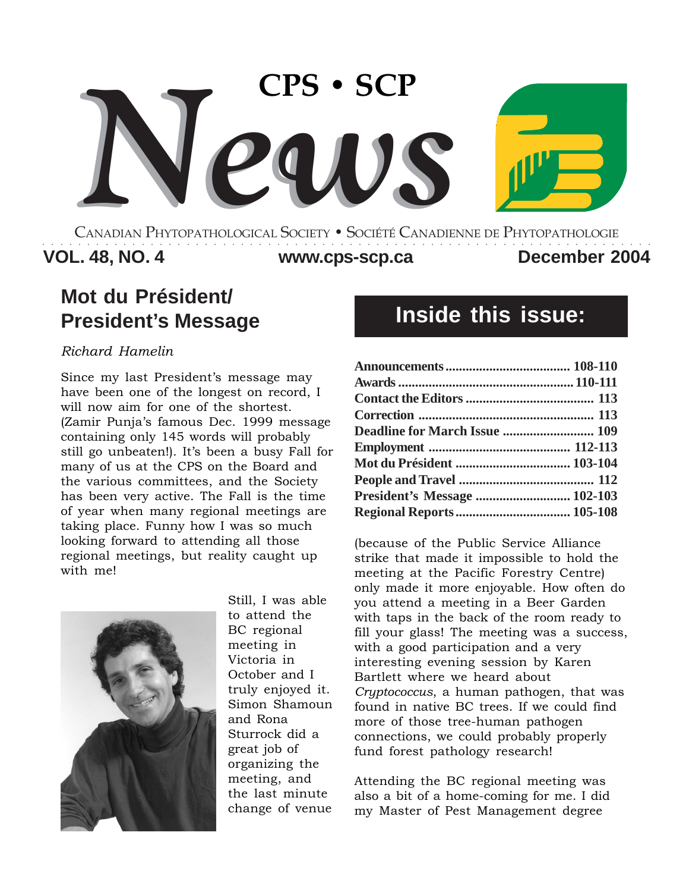

CANADIAN PHYTOPATHOLOGICAL SOCIETY **•** SOCIÉTÉ CANADIENNE DE PHYTOPATHOLOGIE ○○○○○○○○○○○○○○○○○○○○○○○○○○○○○○○○○○○○○○○○○○○○○○○○○○○○○○○○○○○○○○○○○○○○

**VOL. 48, NO. 4 December 2004 www.cps-scp.ca**

# **Mot du Président/ President's Message**

### *Richard Hamelin*

Since my last President's message may have been one of the longest on record, I will now aim for one of the shortest. (Zamir Punja's famous Dec. 1999 message containing only 145 words will probably still go unbeaten!). It's been a busy Fall for many of us at the CPS on the Board and the various committees, and the Society has been very active. The Fall is the time of year when many regional meetings are taking place. Funny how I was so much looking forward to attending all those regional meetings, but reality caught up with me!



Still, I was able to attend the BC regional meeting in Victoria in October and I truly enjoyed it. Simon Shamoun and Rona Sturrock did a great job of organizing the meeting, and the last minute change of venue

# **Inside this issue:**

| Deadline for March Issue  109    |  |
|----------------------------------|--|
|                                  |  |
|                                  |  |
|                                  |  |
| President's Message  102-103     |  |
| <b>Regional Reports  105-108</b> |  |

(because of the Public Service Alliance strike that made it impossible to hold the meeting at the Pacific Forestry Centre) only made it more enjoyable. How often do you attend a meeting in a Beer Garden with taps in the back of the room ready to fill your glass! The meeting was a success, with a good participation and a very interesting evening session by Karen Bartlett where we heard about *Cryptococcus*, a human pathogen, that was found in native BC trees. If we could find more of those tree-human pathogen connections, we could probably properly fund forest pathology research!

Attending the BC regional meeting was also a bit of a home-coming for me. I did my Master of Pest Management degree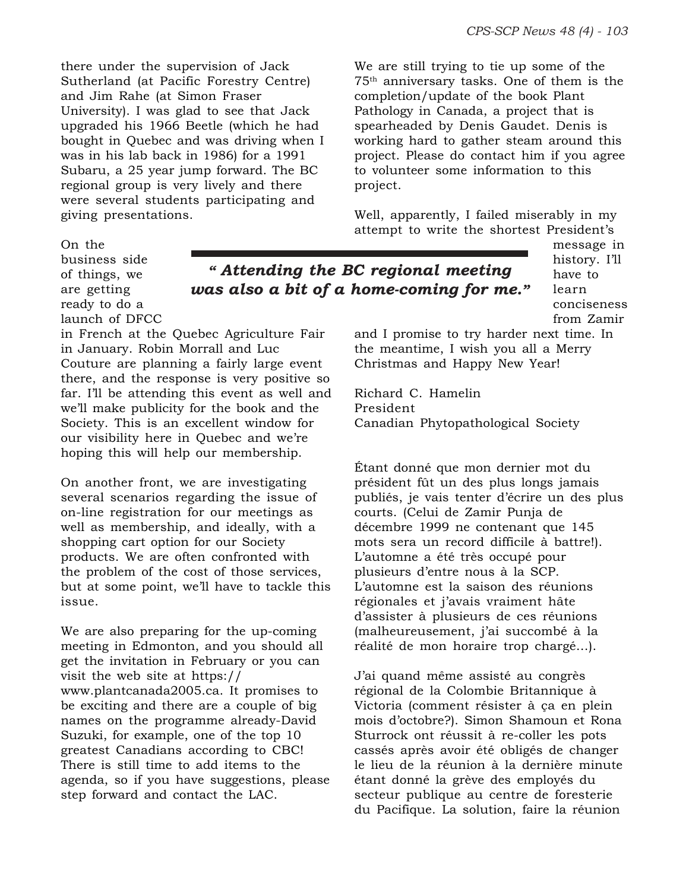there under the supervision of Jack Sutherland (at Pacific Forestry Centre) and Jim Rahe (at Simon Fraser University). I was glad to see that Jack upgraded his 1966 Beetle (which he had bought in Quebec and was driving when I was in his lab back in 1986) for a 1991 Subaru, a 25 year jump forward. The BC regional group is very lively and there were several students participating and giving presentations.

We are still trying to tie up some of the 75th anniversary tasks. One of them is the completion/update of the book Plant Pathology in Canada, a project that is spearheaded by Denis Gaudet. Denis is working hard to gather steam around this project. Please do contact him if you agree to volunteer some information to this project.

Well, apparently, I failed miserably in my attempt to write the shortest President's

> message in history. I'll have to learn conciseness from Zamir

and I promise to try harder next time. In the meantime, I wish you all a Merry Christmas and Happy New Year!

Richard C. Hamelin President Canadian Phytopathological Society

Étant donné que mon dernier mot du président fût un des plus longs jamais publiés, je vais tenter d'écrire un des plus courts. (Celui de Zamir Punja de décembre 1999 ne contenant que 145 mots sera un record difficile à battre!). L'automne a été très occupé pour plusieurs d'entre nous à la SCP. L'automne est la saison des réunions régionales et j'avais vraiment hâte d'assister à plusieurs de ces réunions (malheureusement, j'ai succombé à la réalité de mon horaire trop chargé…).

J'ai quand même assisté au congrès régional de la Colombie Britannique à Victoria (comment résister à ça en plein mois d'octobre?). Simon Shamoun et Rona Sturrock ont réussit à re-coller les pots cassés après avoir été obligés de changer le lieu de la réunion à la dernière minute étant donné la grève des employés du secteur publique au centre de foresterie du Pacifique. La solution, faire la réunion

On the business side of things, we are getting ready to do a

launch of DFCC

*" Attending the BC regional meeting was also a bit of a home-coming for me."*

in French at the Quebec Agriculture Fair in January. Robin Morrall and Luc Couture are planning a fairly large event there, and the response is very positive so far. I'll be attending this event as well and we'll make publicity for the book and the Society. This is an excellent window for our visibility here in Quebec and we're hoping this will help our membership.

On another front, we are investigating several scenarios regarding the issue of on-line registration for our meetings as well as membership, and ideally, with a shopping cart option for our Society products. We are often confronted with the problem of the cost of those services, but at some point, we'll have to tackle this issue.

We are also preparing for the up-coming meeting in Edmonton, and you should all get the invitation in February or you can visit the web site at https:// www.plantcanada2005.ca. It promises to be exciting and there are a couple of big names on the programme already-David Suzuki, for example, one of the top 10 greatest Canadians according to CBC! There is still time to add items to the agenda, so if you have suggestions, please step forward and contact the LAC.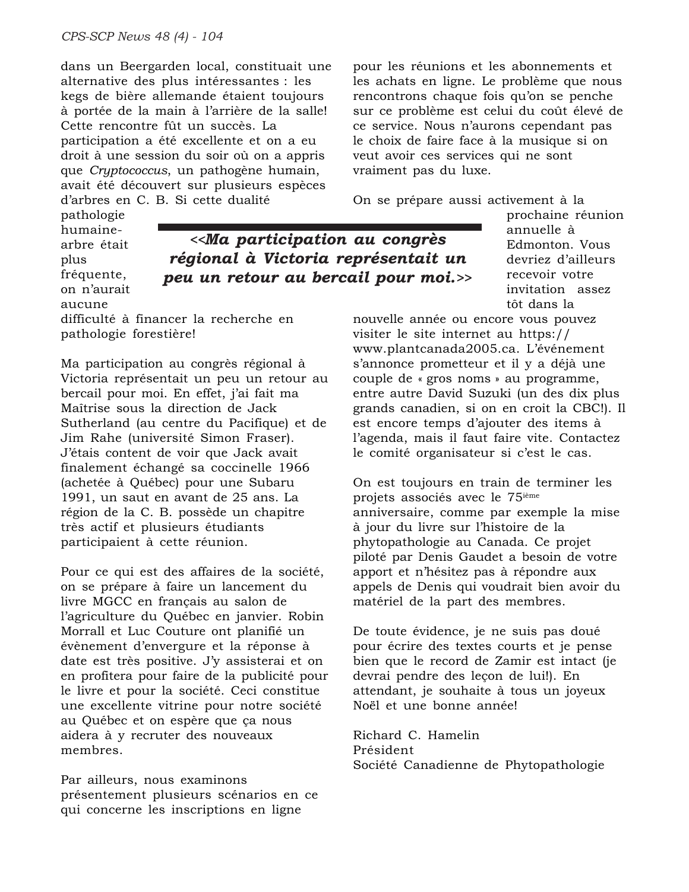dans un Beergarden local, constituait une alternative des plus intéressantes : les kegs de bière allemande étaient toujours à portée de la main à l'arrière de la salle! Cette rencontre fût un succès. La participation a été excellente et on a eu droit à une session du soir où on a appris que *Cryptococcus*, un pathogène humain, avait été découvert sur plusieurs espèces d'arbres en C. B. Si cette dualité

pathologie humainearbre était plus fréquente, on n'aurait aucune

*<<Ma participation au congrès régional à Victoria représentait un peu un retour au bercail pour moi.>>*

difficulté à financer la recherche en pathologie forestière!

Ma participation au congrès régional à Victoria représentait un peu un retour au bercail pour moi. En effet, j'ai fait ma Maîtrise sous la direction de Jack Sutherland (au centre du Pacifique) et de Jim Rahe (université Simon Fraser). J'étais content de voir que Jack avait finalement échangé sa coccinelle 1966 (achetée à Québec) pour une Subaru 1991, un saut en avant de 25 ans. La région de la C. B. possède un chapitre très actif et plusieurs étudiants participaient à cette réunion.

Pour ce qui est des affaires de la société, on se prépare à faire un lancement du livre MGCC en français au salon de l'agriculture du Québec en janvier. Robin Morrall et Luc Couture ont planifié un évènement d'envergure et la réponse à date est très positive. J'y assisterai et on en profitera pour faire de la publicité pour le livre et pour la société. Ceci constitue une excellente vitrine pour notre société au Québec et on espère que ça nous aidera à y recruter des nouveaux membres.

Par ailleurs, nous examinons présentement plusieurs scénarios en ce qui concerne les inscriptions en ligne

pour les réunions et les abonnements et les achats en ligne. Le problème que nous rencontrons chaque fois qu'on se penche sur ce problème est celui du coût élevé de ce service. Nous n'aurons cependant pas le choix de faire face à la musique si on veut avoir ces services qui ne sont vraiment pas du luxe.

On se prépare aussi activement à la

prochaine réunion annuelle à Edmonton. Vous devriez d'ailleurs recevoir votre invitation assez tôt dans la

nouvelle année ou encore vous pouvez visiter le site internet au https:// www.plantcanada2005.ca. L'événement s'annonce prometteur et il y a déjà une couple de « gros noms » au programme, entre autre David Suzuki (un des dix plus grands canadien, si on en croit la CBC!). Il est encore temps d'ajouter des items à l'agenda, mais il faut faire vite. Contactez le comité organisateur si c'est le cas.

On est toujours en train de terminer les projets associés avec le 75ième anniversaire, comme par exemple la mise à jour du livre sur l'histoire de la phytopathologie au Canada. Ce projet piloté par Denis Gaudet a besoin de votre apport et n'hésitez pas à répondre aux appels de Denis qui voudrait bien avoir du matériel de la part des membres.

De toute évidence, je ne suis pas doué pour écrire des textes courts et je pense bien que le record de Zamir est intact (je devrai pendre des leçon de lui!). En attendant, je souhaite à tous un joyeux Noël et une bonne année!

Richard C. Hamelin Président Société Canadienne de Phytopathologie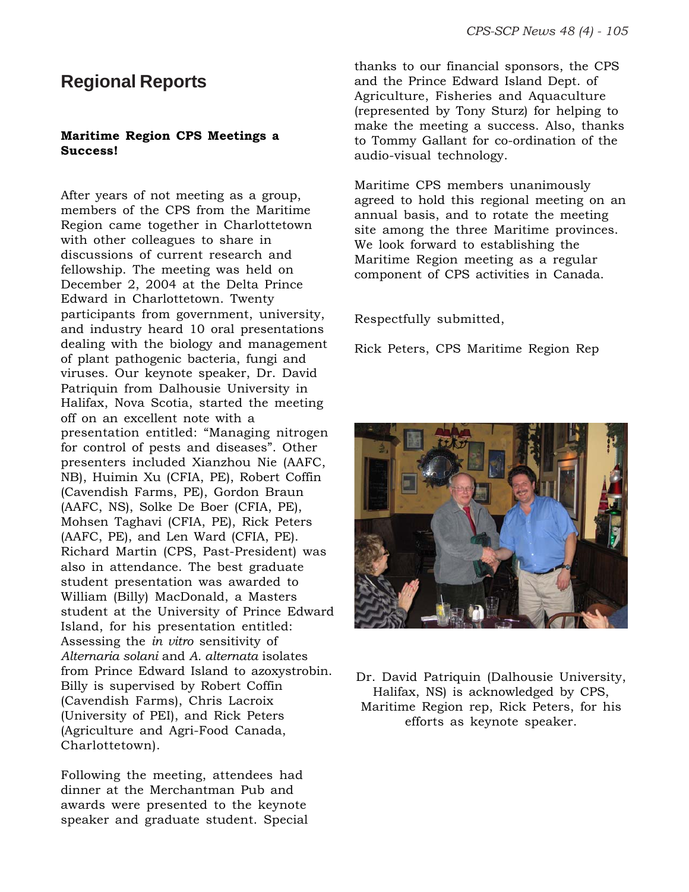### **Regional Reports**

### **Maritime Region CPS Meetings a Success!**

After years of not meeting as a group, members of the CPS from the Maritime Region came together in Charlottetown with other colleagues to share in discussions of current research and fellowship. The meeting was held on December 2, 2004 at the Delta Prince Edward in Charlottetown. Twenty participants from government, university, and industry heard 10 oral presentations dealing with the biology and management of plant pathogenic bacteria, fungi and viruses. Our keynote speaker, Dr. David Patriquin from Dalhousie University in Halifax, Nova Scotia, started the meeting off on an excellent note with a presentation entitled: "Managing nitrogen for control of pests and diseases". Other presenters included Xianzhou Nie (AAFC, NB), Huimin Xu (CFIA, PE), Robert Coffin (Cavendish Farms, PE), Gordon Braun (AAFC, NS), Solke De Boer (CFIA, PE), Mohsen Taghavi (CFIA, PE), Rick Peters (AAFC, PE), and Len Ward (CFIA, PE). Richard Martin (CPS, Past-President) was also in attendance. The best graduate student presentation was awarded to William (Billy) MacDonald, a Masters student at the University of Prince Edward Island, for his presentation entitled: Assessing the *in vitro* sensitivity of *Alternaria solani* and *A. alternata* isolates from Prince Edward Island to azoxystrobin. Billy is supervised by Robert Coffin (Cavendish Farms), Chris Lacroix (University of PEI), and Rick Peters (Agriculture and Agri-Food Canada, Charlottetown).

Following the meeting, attendees had dinner at the Merchantman Pub and awards were presented to the keynote speaker and graduate student. Special thanks to our financial sponsors, the CPS and the Prince Edward Island Dept. of Agriculture, Fisheries and Aquaculture (represented by Tony Sturz) for helping to make the meeting a success. Also, thanks to Tommy Gallant for co-ordination of the audio-visual technology.

Maritime CPS members unanimously agreed to hold this regional meeting on an annual basis, and to rotate the meeting site among the three Maritime provinces. We look forward to establishing the Maritime Region meeting as a regular component of CPS activities in Canada.

Respectfully submitted,

Rick Peters, CPS Maritime Region Rep



Dr. David Patriquin (Dalhousie University, Halifax, NS) is acknowledged by CPS, Maritime Region rep, Rick Peters, for his efforts as keynote speaker.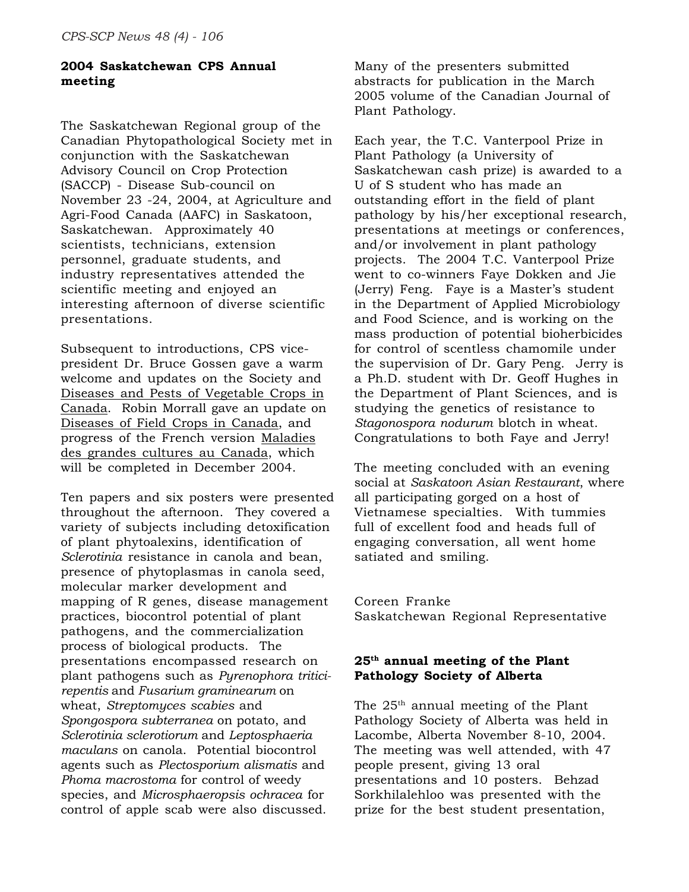### **2004 Saskatchewan CPS Annual meeting**

The Saskatchewan Regional group of the Canadian Phytopathological Society met in conjunction with the Saskatchewan Advisory Council on Crop Protection (SACCP) - Disease Sub-council on November 23 -24, 2004, at Agriculture and Agri-Food Canada (AAFC) in Saskatoon, Saskatchewan. Approximately 40 scientists, technicians, extension personnel, graduate students, and industry representatives attended the scientific meeting and enjoyed an interesting afternoon of diverse scientific presentations.

Subsequent to introductions, CPS vicepresident Dr. Bruce Gossen gave a warm welcome and updates on the Society and Diseases and Pests of Vegetable Crops in Canada. Robin Morrall gave an update on Diseases of Field Crops in Canada, and progress of the French version Maladies des grandes cultures au Canada, which will be completed in December 2004.

Ten papers and six posters were presented throughout the afternoon. They covered a variety of subjects including detoxification of plant phytoalexins, identification of *Sclerotinia* resistance in canola and bean, presence of phytoplasmas in canola seed, molecular marker development and mapping of R genes, disease management practices, biocontrol potential of plant pathogens, and the commercialization process of biological products. The presentations encompassed research on plant pathogens such as *Pyrenophora triticirepentis* and *Fusarium graminearum* on wheat, *Streptomyces scabies* and *Spongospora subterranea* on potato, and *Sclerotinia sclerotiorum* and *Leptosphaeria maculans* on canola. Potential biocontrol agents such as *Plectosporium alismatis* and *Phoma macrostoma* for control of weedy species, and *Microsphaeropsis ochracea* for control of apple scab were also discussed.

Many of the presenters submitted abstracts for publication in the March 2005 volume of the Canadian Journal of Plant Pathology.

Each year, the T.C. Vanterpool Prize in Plant Pathology (a University of Saskatchewan cash prize) is awarded to a U of S student who has made an outstanding effort in the field of plant pathology by his/her exceptional research, presentations at meetings or conferences, and/or involvement in plant pathology projects. The 2004 T.C. Vanterpool Prize went to co-winners Faye Dokken and Jie (Jerry) Feng. Faye is a Master's student in the Department of Applied Microbiology and Food Science, and is working on the mass production of potential bioherbicides for control of scentless chamomile under the supervision of Dr. Gary Peng. Jerry is a Ph.D. student with Dr. Geoff Hughes in the Department of Plant Sciences, and is studying the genetics of resistance to *Stagonospora nodurum* blotch in wheat. Congratulations to both Faye and Jerry!

The meeting concluded with an evening social at *Saskatoon Asian Restaurant*, where all participating gorged on a host of Vietnamese specialties. With tummies full of excellent food and heads full of engaging conversation, all went home satiated and smiling.

Coreen Franke Saskatchewan Regional Representative

### **25th annual meeting of the Plant Pathology Society of Alberta**

The  $25<sup>th</sup>$  annual meeting of the Plant Pathology Society of Alberta was held in Lacombe, Alberta November 8-10, 2004. The meeting was well attended, with 47 people present, giving 13 oral presentations and 10 posters. Behzad Sorkhilalehloo was presented with the prize for the best student presentation,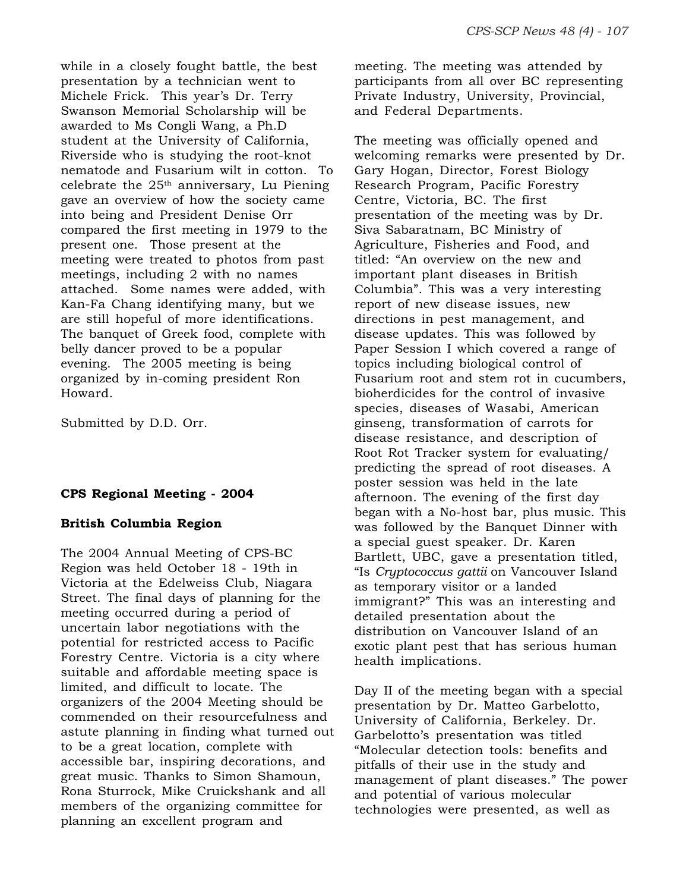while in a closely fought battle, the best presentation by a technician went to Michele Frick. This year's Dr. Terry Swanson Memorial Scholarship will be awarded to Ms Congli Wang, a Ph.D student at the University of California, Riverside who is studying the root-knot nematode and Fusarium wilt in cotton. To celebrate the  $25<sup>th</sup>$  anniversary, Lu Piening gave an overview of how the society came into being and President Denise Orr compared the first meeting in 1979 to the present one. Those present at the meeting were treated to photos from past meetings, including 2 with no names attached. Some names were added, with Kan-Fa Chang identifying many, but we are still hopeful of more identifications. The banquet of Greek food, complete with belly dancer proved to be a popular evening. The 2005 meeting is being organized by in-coming president Ron Howard.

Submitted by D.D. Orr.

### **CPS Regional Meeting - 2004**

### **British Columbia Region**

The 2004 Annual Meeting of CPS-BC Region was held October 18 - 19th in Victoria at the Edelweiss Club, Niagara Street. The final days of planning for the meeting occurred during a period of uncertain labor negotiations with the potential for restricted access to Pacific Forestry Centre. Victoria is a city where suitable and affordable meeting space is limited, and difficult to locate. The organizers of the 2004 Meeting should be commended on their resourcefulness and astute planning in finding what turned out to be a great location, complete with accessible bar, inspiring decorations, and great music. Thanks to Simon Shamoun, Rona Sturrock, Mike Cruickshank and all members of the organizing committee for planning an excellent program and

meeting. The meeting was attended by participants from all over BC representing Private Industry, University, Provincial, and Federal Departments.

The meeting was officially opened and welcoming remarks were presented by Dr. Gary Hogan, Director, Forest Biology Research Program, Pacific Forestry Centre, Victoria, BC. The first presentation of the meeting was by Dr. Siva Sabaratnam, BC Ministry of Agriculture, Fisheries and Food, and titled: "An overview on the new and important plant diseases in British Columbia". This was a very interesting report of new disease issues, new directions in pest management, and disease updates. This was followed by Paper Session I which covered a range of topics including biological control of Fusarium root and stem rot in cucumbers, bioherdicides for the control of invasive species, diseases of Wasabi, American ginseng, transformation of carrots for disease resistance, and description of Root Rot Tracker system for evaluating/ predicting the spread of root diseases. A poster session was held in the late afternoon. The evening of the first day began with a No-host bar, plus music. This was followed by the Banquet Dinner with a special guest speaker. Dr. Karen Bartlett, UBC, gave a presentation titled, "Is *Cryptococcus gattii* on Vancouver Island as temporary visitor or a landed immigrant?" This was an interesting and detailed presentation about the distribution on Vancouver Island of an exotic plant pest that has serious human health implications.

Day II of the meeting began with a special presentation by Dr. Matteo Garbelotto, University of California, Berkeley. Dr. Garbelotto's presentation was titled "Molecular detection tools: benefits and pitfalls of their use in the study and management of plant diseases." The power and potential of various molecular technologies were presented, as well as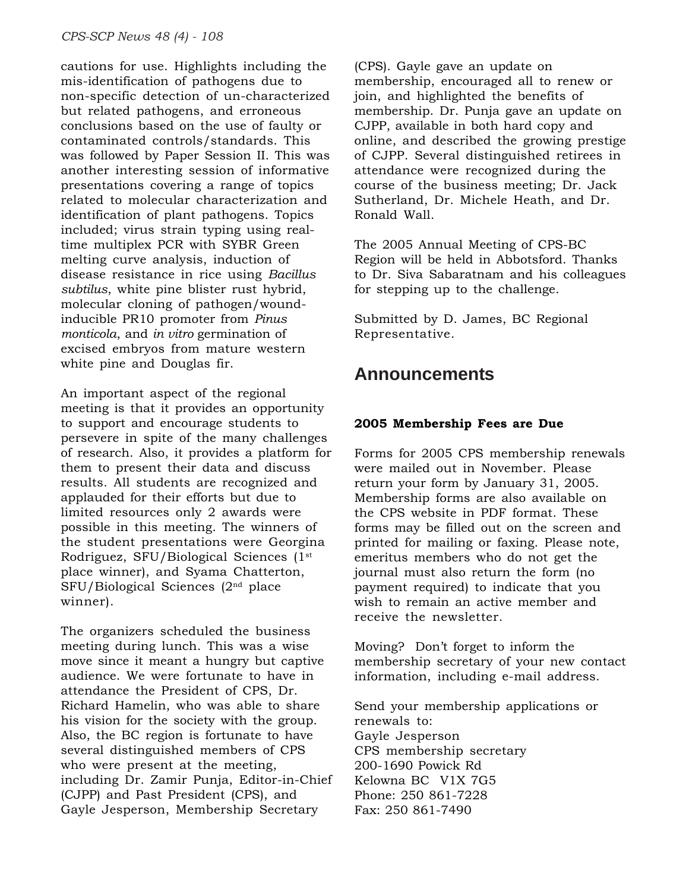cautions for use. Highlights including the mis-identification of pathogens due to non-specific detection of un-characterized but related pathogens, and erroneous conclusions based on the use of faulty or contaminated controls/standards. This was followed by Paper Session II. This was another interesting session of informative presentations covering a range of topics related to molecular characterization and identification of plant pathogens. Topics included; virus strain typing using realtime multiplex PCR with SYBR Green melting curve analysis, induction of disease resistance in rice using *Bacillus subtilus*, white pine blister rust hybrid, molecular cloning of pathogen/woundinducible PR10 promoter from *Pinus monticola*, and *in vitro* germination of excised embryos from mature western white pine and Douglas fir.

An important aspect of the regional meeting is that it provides an opportunity to support and encourage students to persevere in spite of the many challenges of research. Also, it provides a platform for them to present their data and discuss results. All students are recognized and applauded for their efforts but due to limited resources only 2 awards were possible in this meeting. The winners of the student presentations were Georgina Rodriguez, SFU/Biological Sciences (1st place winner), and Syama Chatterton, SFU/Biological Sciences (2nd place winner).

The organizers scheduled the business meeting during lunch. This was a wise move since it meant a hungry but captive audience. We were fortunate to have in attendance the President of CPS, Dr. Richard Hamelin, who was able to share his vision for the society with the group. Also, the BC region is fortunate to have several distinguished members of CPS who were present at the meeting, including Dr. Zamir Punja, Editor-in-Chief (CJPP) and Past President (CPS), and Gayle Jesperson, Membership Secretary

(CPS). Gayle gave an update on membership, encouraged all to renew or join, and highlighted the benefits of membership. Dr. Punja gave an update on CJPP, available in both hard copy and online, and described the growing prestige of CJPP. Several distinguished retirees in attendance were recognized during the course of the business meeting; Dr. Jack Sutherland, Dr. Michele Heath, and Dr. Ronald Wall.

The 2005 Annual Meeting of CPS-BC Region will be held in Abbotsford. Thanks to Dr. Siva Sabaratnam and his colleagues for stepping up to the challenge.

Submitted by D. James, BC Regional Representative.

### **Announcements**

### **2005 Membership Fees are Due**

Forms for 2005 CPS membership renewals were mailed out in November. Please return your form by January 31, 2005. Membership forms are also available on the CPS website in PDF format. These forms may be filled out on the screen and printed for mailing or faxing. Please note, emeritus members who do not get the journal must also return the form (no payment required) to indicate that you wish to remain an active member and receive the newsletter.

Moving? Don't forget to inform the membership secretary of your new contact information, including e-mail address.

Send your membership applications or renewals to: Gayle Jesperson CPS membership secretary 200-1690 Powick Rd Kelowna BC V1X 7G5 Phone: 250 861-7228 Fax: 250 861-7490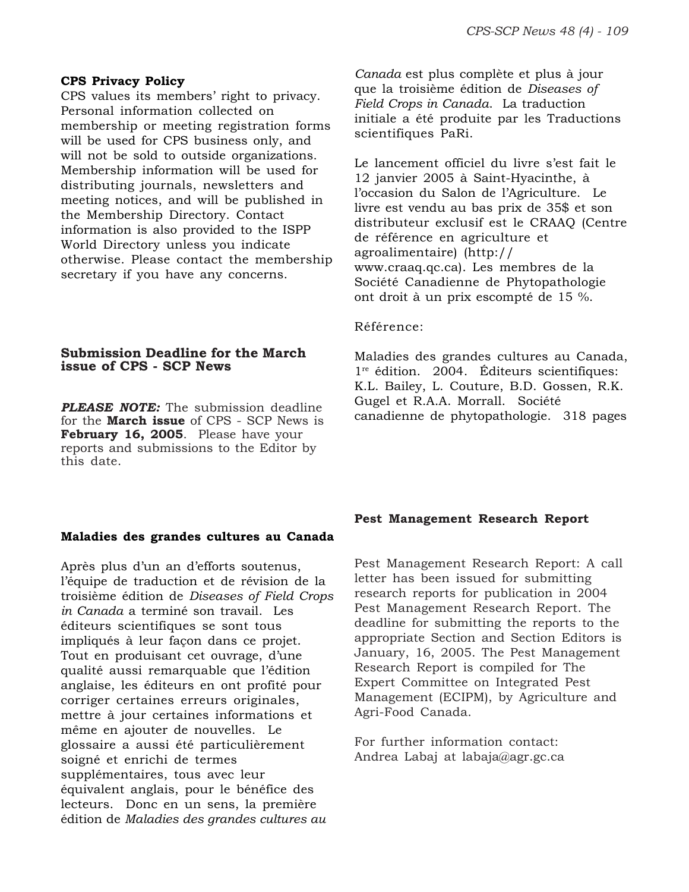#### **CPS Privacy Policy**

CPS values its members' right to privacy. Personal information collected on membership or meeting registration forms will be used for CPS business only, and will not be sold to outside organizations. Membership information will be used for distributing journals, newsletters and meeting notices, and will be published in the Membership Directory. Contact information is also provided to the ISPP World Directory unless you indicate otherwise. Please contact the membership secretary if you have any concerns.

### **Submission Deadline for the March issue of CPS - SCP News**

*PLEASE NOTE:* The submission deadline for the **March issue** of CPS - SCP News is **February 16, 2005**. Please have your reports and submissions to the Editor by this date.

#### **Maladies des grandes cultures au Canada**

Après plus d'un an d'efforts soutenus, l'équipe de traduction et de révision de la troisième édition de *Diseases of Field Crops in Canada* a terminé son travail. Les éditeurs scientifiques se sont tous impliqués à leur façon dans ce projet. Tout en produisant cet ouvrage, d'une qualité aussi remarquable que l'édition anglaise, les éditeurs en ont profité pour corriger certaines erreurs originales, mettre à jour certaines informations et même en ajouter de nouvelles. Le glossaire a aussi été particulièrement soigné et enrichi de termes supplémentaires, tous avec leur équivalent anglais, pour le bénéfice des lecteurs. Donc en un sens, la première édition de *Maladies des grandes cultures au*

*Canada* est plus complète et plus à jour que la troisième édition de *Diseases of Field Crops in Canada*. La traduction initiale a été produite par les Traductions scientifiques PaRi.

Le lancement officiel du livre s'est fait le 12 janvier 2005 à Saint-Hyacinthe, à l'occasion du Salon de l'Agriculture. Le livre est vendu au bas prix de 35\$ et son distributeur exclusif est le CRAAQ (Centre de référence en agriculture et agroalimentaire) (http:// www.craaq.qc.ca). Les membres de la Société Canadienne de Phytopathologie ont droit à un prix escompté de 15 %.

#### Référence:

Maladies des grandes cultures au Canada, 1<sup>re</sup> édition. 2004. Éditeurs scientifiques: K.L. Bailey, L. Couture, B.D. Gossen, R.K. Gugel et R.A.A. Morrall. Société canadienne de phytopathologie. 318 pages

#### **Pest Management Research Report**

Pest Management Research Report: A call letter has been issued for submitting research reports for publication in 2004 Pest Management Research Report. The deadline for submitting the reports to the appropriate Section and Section Editors is January, 16, 2005. The Pest Management Research Report is compiled for The Expert Committee on Integrated Pest Management (ECIPM), by Agriculture and Agri-Food Canada.

For further information contact: Andrea Labaj at labaja@agr.gc.ca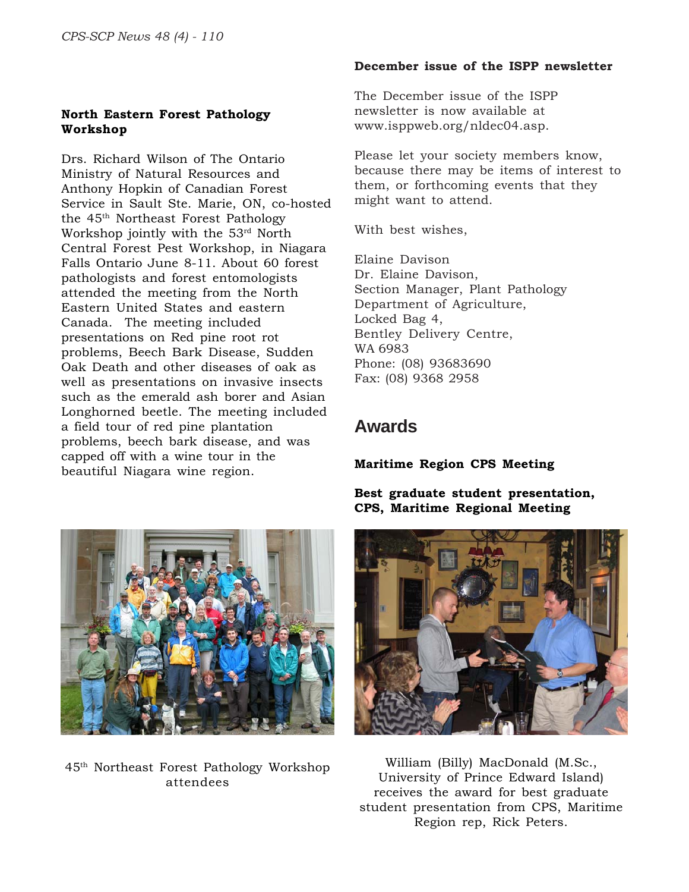### **North Eastern Forest Pathology Workshop**

Drs. Richard Wilson of The Ontario Ministry of Natural Resources and Anthony Hopkin of Canadian Forest Service in Sault Ste. Marie, ON, co-hosted the 45th Northeast Forest Pathology Workshop jointly with the 53rd North Central Forest Pest Workshop, in Niagara Falls Ontario June 8-11. About 60 forest pathologists and forest entomologists attended the meeting from the North Eastern United States and eastern Canada. The meeting included presentations on Red pine root rot problems, Beech Bark Disease, Sudden Oak Death and other diseases of oak as well as presentations on invasive insects such as the emerald ash borer and Asian Longhorned beetle. The meeting included a field tour of red pine plantation problems, beech bark disease, and was capped off with a wine tour in the beautiful Niagara wine region.



45th Northeast Forest Pathology Workshop attendees

### **December issue of the ISPP newsletter**

The December issue of the ISPP newsletter is now available at www.isppweb.org/nldec04.asp.

Please let your society members know, because there may be items of interest to them, or forthcoming events that they might want to attend.

With best wishes,

Elaine Davison Dr. Elaine Davison, Section Manager, Plant Pathology Department of Agriculture, Locked Bag 4, Bentley Delivery Centre, WA 6983 Phone: (08) 93683690 Fax: (08) 9368 2958

### **Awards**

**Maritime Region CPS Meeting**

**Best graduate student presentation, CPS, Maritime Regional Meeting**



William (Billy) MacDonald (M.Sc., University of Prince Edward Island) receives the award for best graduate student presentation from CPS, Maritime Region rep, Rick Peters.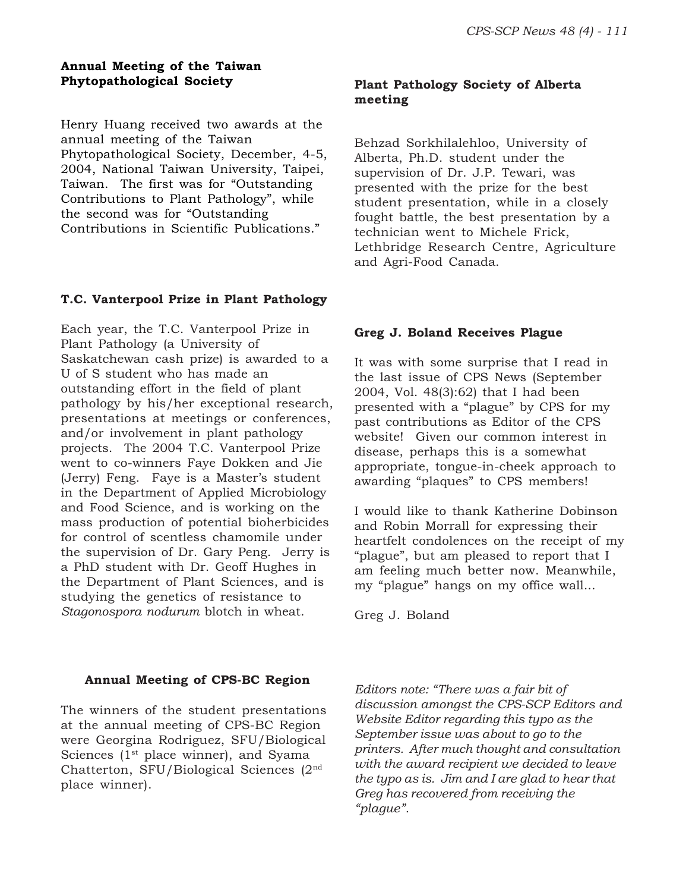### **Annual Meeting of the Taiwan Phytopathological Society**

Henry Huang received two awards at the annual meeting of the Taiwan Phytopathological Society, December, 4-5, 2004, National Taiwan University, Taipei, Taiwan. The first was for "Outstanding Contributions to Plant Pathology", while the second was for "Outstanding Contributions in Scientific Publications."

### **T.C. Vanterpool Prize in Plant Pathology**

Each year, the T.C. Vanterpool Prize in Plant Pathology (a University of Saskatchewan cash prize) is awarded to a U of S student who has made an outstanding effort in the field of plant pathology by his/her exceptional research, presentations at meetings or conferences, and/or involvement in plant pathology projects. The 2004 T.C. Vanterpool Prize went to co-winners Faye Dokken and Jie (Jerry) Feng. Faye is a Master's student in the Department of Applied Microbiology and Food Science, and is working on the mass production of potential bioherbicides for control of scentless chamomile under the supervision of Dr. Gary Peng. Jerry is a PhD student with Dr. Geoff Hughes in the Department of Plant Sciences, and is studying the genetics of resistance to *Stagonospora nodurum* blotch in wheat.

### **Annual Meeting of CPS-BC Region**

The winners of the student presentations at the annual meeting of CPS-BC Region were Georgina Rodriguez, SFU/Biological Sciences ( $1<sup>st</sup>$  place winner), and Syama Chatterton, SFU/Biological Sciences (2nd place winner).

### **Plant Pathology Society of Alberta meeting**

Behzad Sorkhilalehloo, University of Alberta, Ph.D. student under the supervision of Dr. J.P. Tewari, was presented with the prize for the best student presentation, while in a closely fought battle, the best presentation by a technician went to Michele Frick, Lethbridge Research Centre, Agriculture and Agri-Food Canada.

### **Greg J. Boland Receives Plague**

It was with some surprise that I read in the last issue of CPS News (September 2004, Vol. 48(3):62) that I had been presented with a "plague" by CPS for my past contributions as Editor of the CPS website! Given our common interest in disease, perhaps this is a somewhat appropriate, tongue-in-cheek approach to awarding "plaques" to CPS members!

I would like to thank Katherine Dobinson and Robin Morrall for expressing their heartfelt condolences on the receipt of my "plague", but am pleased to report that I am feeling much better now. Meanwhile, my "plague" hangs on my office wall...

Greg J. Boland

*Editors note: "There was a fair bit of discussion amongst the CPS-SCP Editors and Website Editor regarding this typo as the September issue was about to go to the printers. After much thought and consultation with the award recipient we decided to leave the typo as is. Jim and I are glad to hear that Greg has recovered from receiving the "plague".*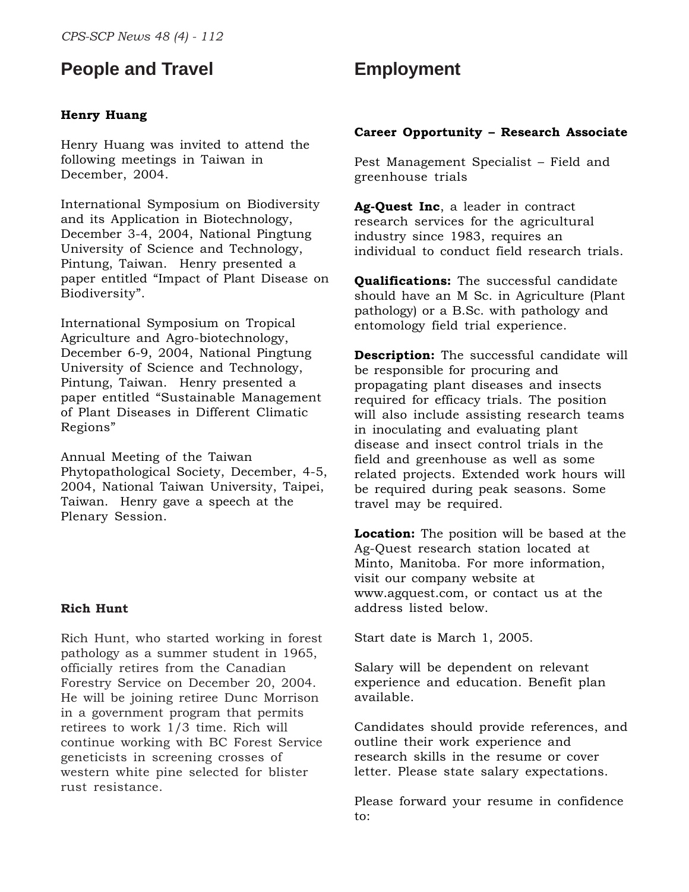### **People and Travel**

### **Henry Huang**

Henry Huang was invited to attend the following meetings in Taiwan in December, 2004.

International Symposium on Biodiversity and its Application in Biotechnology, December 3-4, 2004, National Pingtung University of Science and Technology, Pintung, Taiwan. Henry presented a paper entitled "Impact of Plant Disease on Biodiversity".

International Symposium on Tropical Agriculture and Agro-biotechnology, December 6-9, 2004, National Pingtung University of Science and Technology, Pintung, Taiwan. Henry presented a paper entitled "Sustainable Management of Plant Diseases in Different Climatic Regions"

Annual Meeting of the Taiwan Phytopathological Society, December, 4-5, 2004, National Taiwan University, Taipei, Taiwan. Henry gave a speech at the Plenary Session.

### **Rich Hunt**

Rich Hunt, who started working in forest pathology as a summer student in 1965, officially retires from the Canadian Forestry Service on December 20, 2004. He will be joining retiree Dunc Morrison in a government program that permits retirees to work 1/3 time. Rich will continue working with BC Forest Service geneticists in screening crosses of western white pine selected for blister rust resistance.

### **Employment**

#### **Career Opportunity – Research Associate**

Pest Management Specialist – Field and greenhouse trials

**Ag-Quest Inc**, a leader in contract research services for the agricultural industry since 1983, requires an individual to conduct field research trials.

**Qualifications:** The successful candidate should have an M Sc. in Agriculture (Plant pathology) or a B.Sc. with pathology and entomology field trial experience.

**Description:** The successful candidate will be responsible for procuring and propagating plant diseases and insects required for efficacy trials. The position will also include assisting research teams in inoculating and evaluating plant disease and insect control trials in the field and greenhouse as well as some related projects. Extended work hours will be required during peak seasons. Some travel may be required.

**Location:** The position will be based at the Ag-Quest research station located at Minto, Manitoba. For more information, visit our company website at www.agquest.com, or contact us at the address listed below.

Start date is March 1, 2005.

Salary will be dependent on relevant experience and education. Benefit plan available.

Candidates should provide references, and outline their work experience and research skills in the resume or cover letter. Please state salary expectations.

Please forward your resume in confidence to: